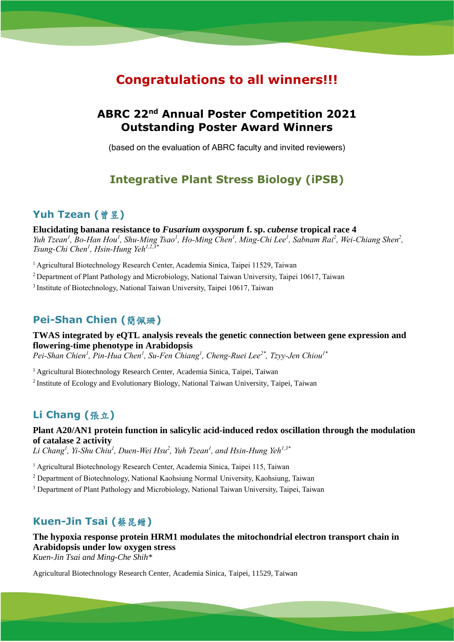# **Congratulations to all winners!!!**

# **ABRC 22nd Annual Poster Competition 2021 Outstanding Poster Award Winners**

(based on the evaluation of ABRC faculty and invited reviewers)

# **Integrative Plant Stress Biology (iPSB)**

### **Yuh Tzean (**曾昱**)**

**Elucidating banana resistance to** *Fusarium oxysporum* **f. sp.** *cubense* **tropical race 4** *Yuh Tzean<sup>1</sup>, Bo-Han Hou<sup>1</sup>, Shu-Ming Tsao<sup>1</sup>, Ho-Ming Chen<sup>1</sup>, Ming-Chi Lee<sup>1</sup>, Sabnam Rai<sup>2</sup>, Wei-Chiang Shen<sup>2</sup>, Tsung-Chi Chen<sup>1</sup> , Hsin-Hung Yeh1,2,3\**

<sup>1</sup> Agricultural Biotechnology Research Center, Academia Sinica, Taipei 11529, Taiwan

<sup>2</sup> Department of Plant Pathology and Microbiology, National Taiwan University, Taipei 10617, Taiwan

<sup>3</sup> Institute of Biotechnology, National Taiwan University, Taipei 10617, Taiwan

## **Pei-Shan Chien (**簡佩珊**)**

**TWAS integrated by eQTL analysis reveals the genetic connection between gene expression and flowering-time phenotype in Arabidopsis**

*Pei-Shan Chien<sup>1</sup> , Pin-Hua Chen<sup>1</sup> , Su-Fen Chiang<sup>1</sup> , Cheng-Ruei Lee2\* , Tzyy-Jen Chiou1\**

<sup>1</sup> Agricultural Biotechnology Research Center, Academia Sinica, Taipei, Taiwan

<sup>2</sup>Institute of Ecology and Evolutionary Biology, National Taiwan University, Taipei, Taiwan

## **Li Chang (**張立**)**

**Plant A20/AN1 protein function in salicylic acid-induced redox oscillation through the modulation of catalase 2 activity**

*Li Chang<sup>1</sup> , Yi-Shu Chiu<sup>1</sup> , Duen-Wei Hsu<sup>2</sup> , Yuh Tzean<sup>1</sup> , and Hsin-Hung Yeh1,3\**

<sup>1</sup> Agricultural Biotechnology Research Center, Academia Sinica, Taipei 115, Taiwan

<sup>2</sup> Department of Biotechnology, National Kaohsiung Normal University, Kaohsiung, Taiwan

<sup>3</sup> Department of Plant Pathology and Microbiology, National Taiwan University, Taipei, Taiwan

## **Kuen-Jin Tsai (**蔡昆縉**)**

**The hypoxia response protein HRM1 modulates the mitochondrial electron transport chain in Arabidopsis under low oxygen stress** *Kuen-Jin Tsai and Ming-Che Shih\**

Agricultural Biotechnology Research Center, Academia Sinica, Taipei, 11529, Taiwan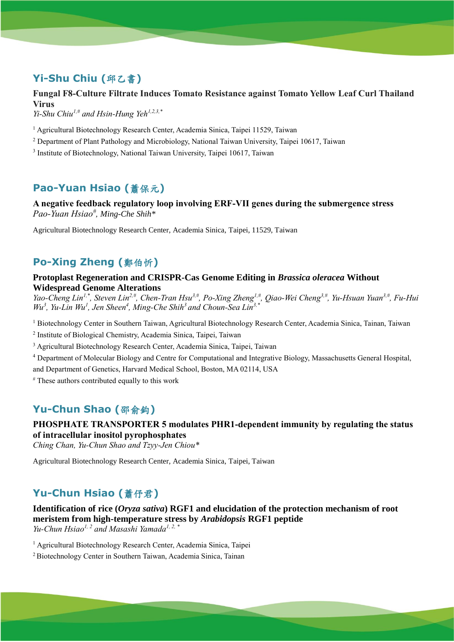# **Yi-Shu Chiu (**邱乙書**)**

# **Fungal F8-Culture Filtrate Induces Tomato Resistance against Tomato Yellow Leaf Curl Thailand Virus**

*Yi-Shu Chiu1,# and Hsin-Hung Yeh1,2,3,\**

<sup>1</sup> Agricultural Biotechnology Research Center, Academia Sinica, Taipei 11529, Taiwan

<sup>2</sup> Department of Plant Pathology and Microbiology, National Taiwan University, Taipei 10617, Taiwan

<sup>3</sup> Institute of Biotechnology, National Taiwan University, Taipei 10617, Taiwan

# **Pao-Yuan Hsiao (**蕭保元**)**

**A negative feedback regulatory loop involving ERF-VII genes during the submergence stress** *Pao-Yuan Hsiao# , Ming-Che Shih\**

Agricultural Biotechnology Research Center, Academia Sinica, Taipei, 11529, Taiwan

# **Po-Xing Zheng (**鄭伯忻**)**

#### **Protoplast Regeneration and CRISPR-Cas Genome Editing in** *Brassica oleracea* **Without Widespread Genome Alterations**

*Yao-Cheng Lin1,\*, Steven Lin2,#, Chen-Tran Hsu3,#, Po-Xing Zheng1,#, Qiao-Wei Cheng3,#, Yu-Hsuan Yuan3,#, Fu-Hui Wu<sup>3</sup> , Yu-Lin Wu<sup>1</sup> , Jen Sheen<sup>4</sup> , Ming-Che Shih<sup>3</sup>and Choun-Sea Lin3,\**

<sup>1</sup> Biotechnology Center in Southern Taiwan, Agricultural Biotechnology Research Center, Academia Sinica, Tainan, Taiwan

2 Institute of Biological Chemistry, Academia Sinica, Taipei, Taiwan

<sup>3</sup> Agricultural Biotechnology Research Center, Academia Sinica, Taipei, Taiwan

<sup>4</sup> Department of Molecular Biology and Centre for Computational and Integrative Biology, Massachusetts General Hospital, and Department of Genetics, Harvard Medical School, Boston, MA 02114, USA

# These authors contributed equally to this work

# **Yu-Chun Shao (**邵俞鈞**)**

## **PHOSPHATE TRANSPORTER 5 modulates PHR1-dependent immunity by regulating the status of intracellular inositol pyrophosphates**

*Ching Chan, Yu-Chun Shao and Tzyy-Jen Chiou\**

Agricultural Biotechnology Research Center, Academia Sinica, Taipei, Taiwan

## **Yu-Chun Hsiao (**蕭伃君**)**

**Identification of rice (***Oryza sativa***) RGF1 and elucidation of the protection mechanism of root meristem from high-temperature stress by** *Arabidopsis* **RGF1 peptide** *Yu-Chun Hsiao1, 2 and Masashi Yamada1, 2, \**

<sup>1</sup> Agricultural Biotechnology Research Center, Academia Sinica, Taipei

2 Biotechnology Center in Southern Taiwan, Academia Sinica, Tainan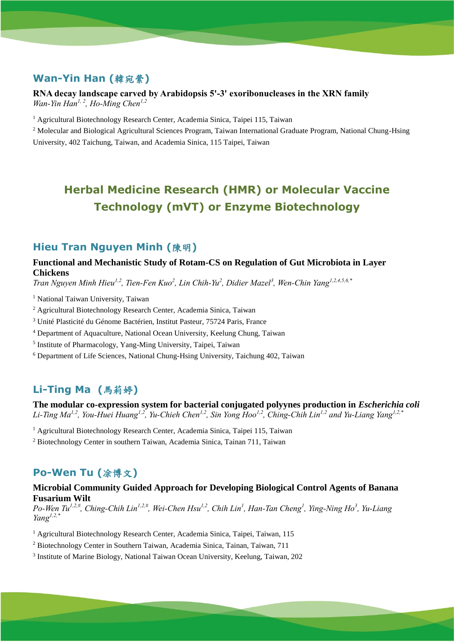# **Wan-Yin Han (**韓宛縈**)**

#### **RNA decay landscape carved by Arabidopsis 5'-3' exoribonucleases in the XRN family** *Wan-Yin Han1, 2 , Ho-Ming Chen1,2*

<sup>1</sup> Agricultural Biotechnology Research Center, Academia Sinica, Taipei 115, Taiwan

<sup>2</sup> Molecular and Biological Agricultural Sciences Program, Taiwan International Graduate Program, National Chung-Hsing University, 402 Taichung, Taiwan, and Academia Sinica, 115 Taipei, Taiwan

# **Herbal Medicine Research (HMR) or Molecular Vaccine Technology (mVT) or Enzyme Biotechnology**

### **Hieu Tran Nguyen Minh (**陳明**)**

#### **Functional and Mechanistic Study of Rotam-CS on Regulation of Gut Microbiota in Layer Chickens**

*Tran Nguyen Minh Hieu1,2, Tien-Fen Kuo<sup>2</sup> , Lin Chih-Yu<sup>2</sup> , Didier Mazel<sup>3</sup> , Wen-Chin Yang1,2,4,5,6,\**

<sup>1</sup> National Taiwan University, Taiwan

<sup>2</sup> Agricultural Biotechnology Research Center, Academia Sinica, Taiwan

<sup>3</sup> Unité Plasticité du Génome Bactérien, Institut Pasteur, 75724 Paris, France

<sup>4</sup> Department of Aquaculture, National Ocean University, Keelung Chung, Taiwan

5 Institute of Pharmacology, Yang-Ming University, Taipei, Taiwan

<sup>6</sup> Department of Life Sciences, National Chung-Hsing University, Taichung 402, Taiwan

# **Li-Ting Ma (**馬莉婷**)**

**The modular co-expression system for bacterial conjugated polyynes production in** *Escherichia coli Li-Ting Ma1,2, You-Huei Huang1,2, Yu-Chieh Chen1,2, Sin Yong Hoo1,2, Ching-Chih Lin1,2 and Yu-Liang Yang1,2,\**

<sup>1</sup> Agricultural Biotechnology Research Center, Academia Sinica, Taipei 115, Taiwan

<sup>2</sup> Biotechnology Center in southern Taiwan, Academia Sinica, Tainan 711, Taiwan

# **Po-Wen Tu (**凃博文**)**

#### **Microbial Community Guided Approach for Developing Biological Control Agents of Banana Fusarium Wilt**

*Po-Wen Tu1,2,#, Ching-Chih Lin1,2,#, Wei-Chen Hsu1,2, Chih Lin<sup>1</sup> , Han-Tan Cheng<sup>1</sup> , Ying-Ning Ho<sup>3</sup> , Yu-Liang Yang1,2,\**

<sup>1</sup> Agricultural Biotechnology Research Center, Academia Sinica, Taipei, Taiwan, 115

<sup>2</sup> Biotechnology Center in Southern Taiwan, Academia Sinica, Tainan, Taiwan, 711

<sup>3</sup> Institute of Marine Biology, National Taiwan Ocean University, Keelung, Taiwan, 202